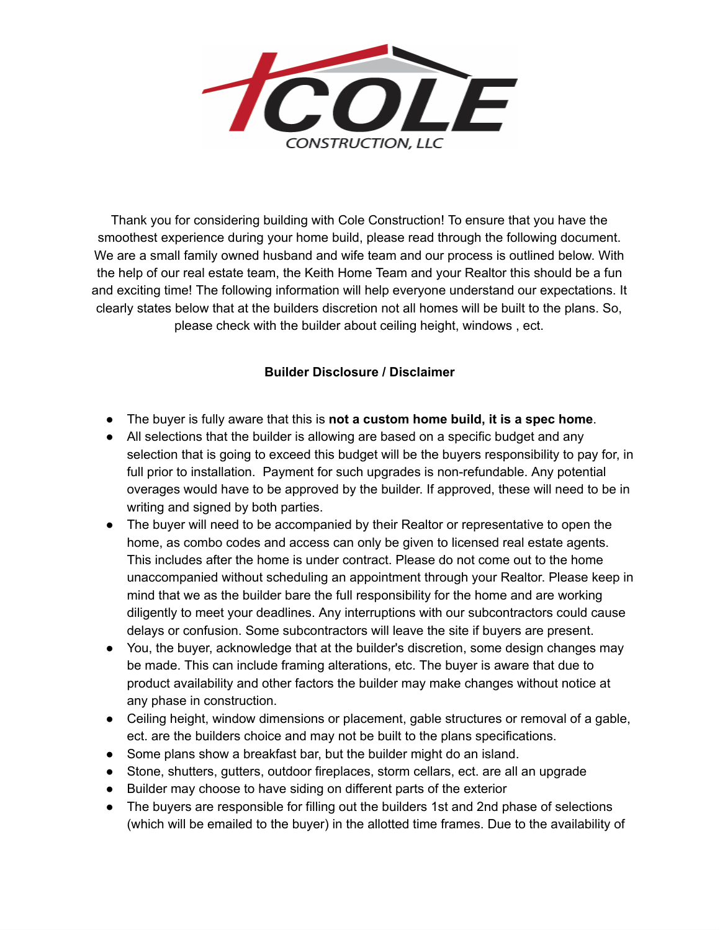

Thank you for considering building with Cole Construction! To ensure that you have the smoothest experience during your home build, please read through the following document. We are a small family owned husband and wife team and our process is outlined below. With the help of our real estate team, the Keith Home Team and your Realtor this should be a fun and exciting time! The following information will help everyone understand our expectations. It clearly states below that at the builders discretion not all homes will be built to the plans. So, please check with the builder about ceiling height, windows , ect.

## **Builder Disclosure / Disclaimer**

- The buyer is fully aware that this is **not a custom home build, it is a spec home**.
- All selections that the builder is allowing are based on a specific budget and any selection that is going to exceed this budget will be the buyers responsibility to pay for, in full prior to installation. Payment for such upgrades is non-refundable. Any potential overages would have to be approved by the builder. If approved, these will need to be in writing and signed by both parties.
- The buyer will need to be accompanied by their Realtor or representative to open the home, as combo codes and access can only be given to licensed real estate agents. This includes after the home is under contract. Please do not come out to the home unaccompanied without scheduling an appointment through your Realtor. Please keep in mind that we as the builder bare the full responsibility for the home and are working diligently to meet your deadlines. Any interruptions with our subcontractors could cause delays or confusion. Some subcontractors will leave the site if buyers are present.
- You, the buyer, acknowledge that at the builder's discretion, some design changes may be made. This can include framing alterations, etc. The buyer is aware that due to product availability and other factors the builder may make changes without notice at any phase in construction.
- Ceiling height, window dimensions or placement, gable structures or removal of a gable, ect. are the builders choice and may not be built to the plans specifications.
- Some plans show a breakfast bar, but the builder might do an island.
- Stone, shutters, gutters, outdoor fireplaces, storm cellars, ect. are all an upgrade
- Builder may choose to have siding on different parts of the exterior
- The buyers are responsible for filling out the builders 1st and 2nd phase of selections (which will be emailed to the buyer) in the allotted time frames. Due to the availability of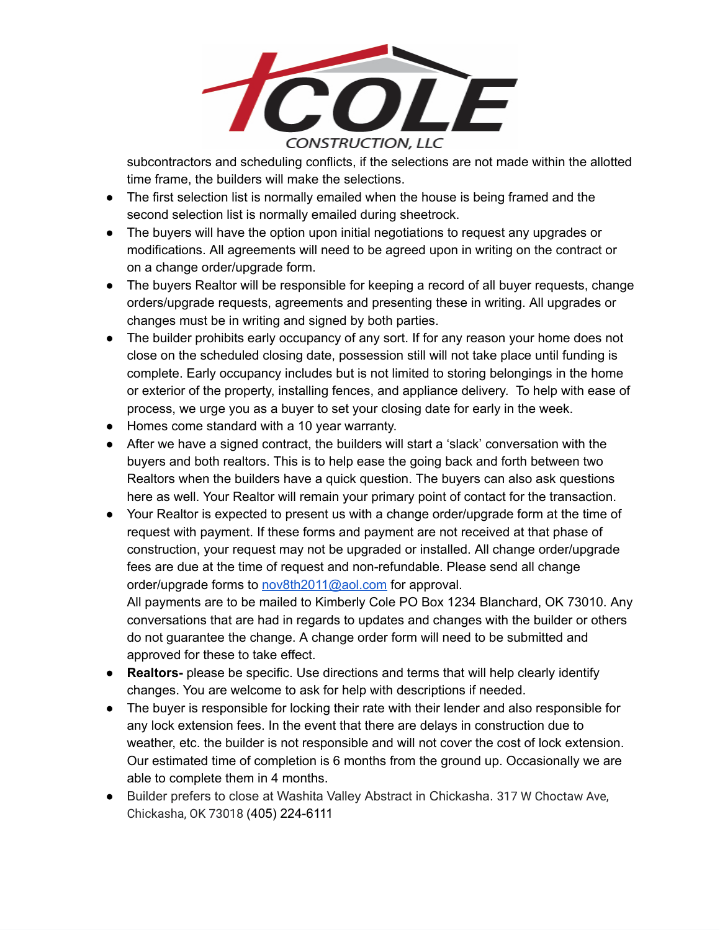

subcontractors and scheduling conflicts, if the selections are not made within the allotted time frame, the builders will make the selections.

- The first selection list is normally emailed when the house is being framed and the second selection list is normally emailed during sheetrock.
- The buyers will have the option upon initial negotiations to request any upgrades or modifications. All agreements will need to be agreed upon in writing on the contract or on a change order/upgrade form.
- The buyers Realtor will be responsible for keeping a record of all buyer requests, change orders/upgrade requests, agreements and presenting these in writing. All upgrades or changes must be in writing and signed by both parties.
- The builder prohibits early occupancy of any sort. If for any reason your home does not close on the scheduled closing date, possession still will not take place until funding is complete. Early occupancy includes but is not limited to storing belongings in the home or exterior of the property, installing fences, and appliance delivery. To help with ease of process, we urge you as a buyer to set your closing date for early in the week.
- Homes come standard with a 10 year warranty.
- After we have a signed contract, the builders will start a 'slack' conversation with the buyers and both realtors. This is to help ease the going back and forth between two Realtors when the builders have a quick question. The buyers can also ask questions here as well. Your Realtor will remain your primary point of contact for the transaction.
- Your Realtor is expected to present us with a change order/upgrade form at the time of request with payment. If these forms and payment are not received at that phase of construction, your request may not be upgraded or installed. All change order/upgrade fees are due at the time of request and non-refundable. Please send all change order/upgrade forms to [nov8th2011@aol.com](mailto:nov8th2011@aol.com) for approval. All payments are to be mailed to Kimberly Cole PO Box 1234 Blanchard, OK 73010. Any conversations that are had in regards to updates and changes with the builder or others

do not guarantee the change. A change order form will need to be submitted and approved for these to take effect.

- **● Realtors-** please be specific. Use directions and terms that will help clearly identify changes. You are welcome to ask for help with descriptions if needed.
- The buyer is responsible for locking their rate with their lender and also responsible for any lock extension fees. In the event that there are delays in construction due to weather, etc. the builder is not responsible and will not cover the cost of lock extension. Our estimated time of completion is 6 months from the ground up. Occasionally we are able to complete them in 4 months.
- Builder prefers to close at Washita Valley Abstract in Chickasha. 317 W Choctaw Ave, Chickasha, OK 73018 (405) 224-6111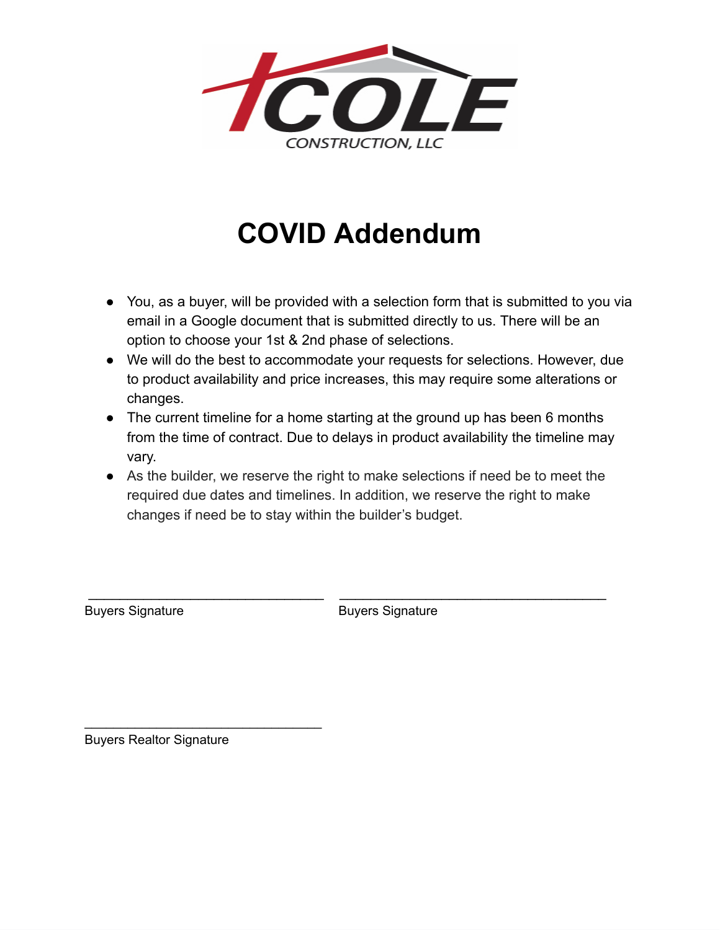

## **COVID Addendum**

- You, as a buyer, will be provided with a selection form that is submitted to you via email in a Google document that is submitted directly to us. There will be an option to choose your 1st & 2nd phase of selections.
- We will do the best to accommodate your requests for selections. However, due to product availability and price increases, this may require some alterations or changes.
- The current timeline for a home starting at the ground up has been 6 months from the time of contract. Due to delays in product availability the timeline may vary.
- As the builder, we reserve the right to make selections if need be to meet the required due dates and timelines. In addition, we reserve the right to make changes if need be to stay within the builder's budget.

\_\_\_\_\_\_\_\_\_\_\_\_\_\_\_\_\_\_\_\_\_\_\_\_\_\_\_\_\_\_ \_\_\_\_\_\_\_\_\_\_\_\_\_\_\_\_\_\_\_\_\_\_\_\_\_\_\_\_\_\_\_\_\_\_

Buyers Signature **Buyers** Signature

Buyers Realtor Signature

 $\mathcal{L}_\text{max}$  , where  $\mathcal{L}_\text{max}$  is the set of the set of the set of the set of the set of the set of the set of the set of the set of the set of the set of the set of the set of the set of the set of the set of the se